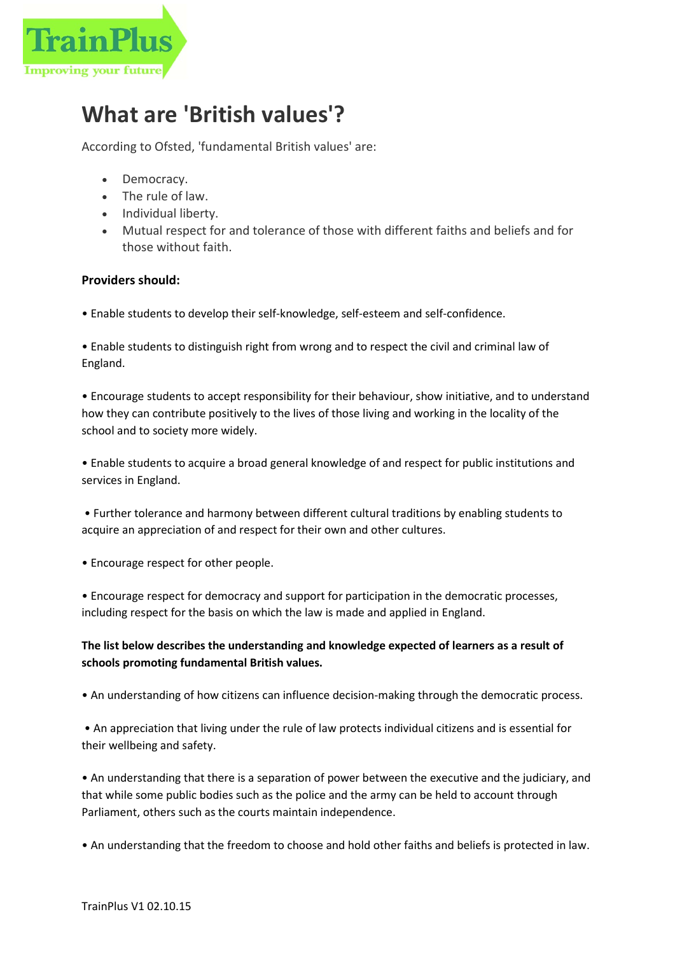

## What are 'British values'?

According to Ofsted, 'fundamental British values' are:

- Democracy.
- The rule of law.
- Individual liberty.
- Mutual respect for and tolerance of those with different faiths and beliefs and for those without faith.

## Providers should:

• Enable students to develop their self-knowledge, self-esteem and self-confidence.

• Enable students to distinguish right from wrong and to respect the civil and criminal law of England.

• Encourage students to accept responsibility for their behaviour, show initiative, and to understand how they can contribute positively to the lives of those living and working in the locality of the school and to society more widely.

• Enable students to acquire a broad general knowledge of and respect for public institutions and services in England.

 • Further tolerance and harmony between different cultural traditions by enabling students to acquire an appreciation of and respect for their own and other cultures.

• Encourage respect for other people.

• Encourage respect for democracy and support for participation in the democratic processes, including respect for the basis on which the law is made and applied in England.

## The list below describes the understanding and knowledge expected of learners as a result of schools promoting fundamental British values.

• An understanding of how citizens can influence decision-making through the democratic process.

 • An appreciation that living under the rule of law protects individual citizens and is essential for their wellbeing and safety.

• An understanding that there is a separation of power between the executive and the judiciary, and that while some public bodies such as the police and the army can be held to account through Parliament, others such as the courts maintain independence.

• An understanding that the freedom to choose and hold other faiths and beliefs is protected in law.